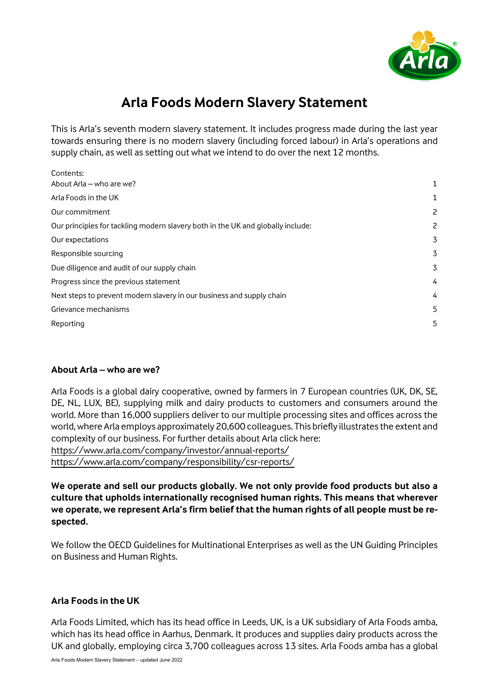

# **Arla Foods Modern Slavery Statement**

This is Arla's seventh modern slavery statement. It includes progress made during the last year towards ensuring there is no modern slavery (including forced labour) in Arla's operations and supply chain, as well as setting out what we intend to do over the next 12 months.

| Contents:                                                                       |   |
|---------------------------------------------------------------------------------|---|
| About Arla - who are we?                                                        | 1 |
| Arla Foods in the UK                                                            | 1 |
| Our commitment                                                                  | 2 |
| Our principles for tackling modern slavery both in the UK and globally include: | 2 |
| Our expectations                                                                | 3 |
| Responsible sourcing                                                            | 3 |
| Due diligence and audit of our supply chain                                     | 3 |
| Progress since the previous statement                                           | 4 |
| Next steps to prevent modern slavery in our business and supply chain           | 4 |
| Grievance mechanisms                                                            | 5 |
| Reporting                                                                       | 5 |
|                                                                                 |   |

# <span id="page-0-0"></span>**About Arla – who are we?**

Arla Foods is a global dairy cooperative, owned by farmers in 7 European countries (UK, DK, SE, DE, NL, LUX, BE), supplying milk and dairy products to customers and consumers around the world. More than 16,000 suppliers deliver to our multiple processing sites and offices across the world, where Arla employs approximately 20,600 colleagues. This briefly illustrates the extent and complexity of our business. For further details about Arla click here: <https://www.arla.com/company/investor/annual-reports/> <https://www.arla.com/company/responsibility/csr-reports/>

**We operate and sell our products globally. We not only provide food products but also a culture that upholds internationally recognised human rights. This means that wherever we operate, we represent Arla's firm belief that the human rights of all people must be respected.**

We follow the OECD Guidelines for Multinational Enterprises as well as the UN Guiding Principles on Business and Human Rights.

# <span id="page-0-1"></span>**Arla Foods in the UK**

Arla Foods Limited, which has its head office in Leeds, UK, is a UK subsidiary of Arla Foods amba, which has its head office in Aarhus, Denmark. It produces and supplies dairy products across the UK and globally, employing circa 3,700 colleagues across 13 sites. Arla Foods amba has a global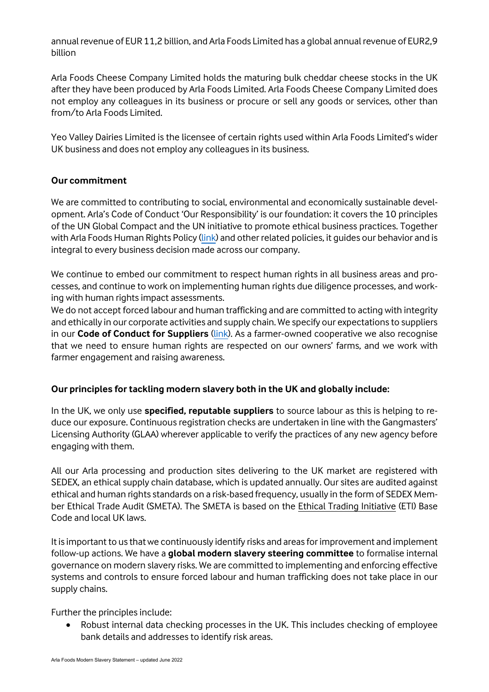annual revenue of EUR 11,2 billion, and Arla Foods Limited has a global annual revenue of EUR2,9 billion

Arla Foods Cheese Company Limited holds the maturing bulk cheddar cheese stocks in the UK after they have been produced by Arla Foods Limited. Arla Foods Cheese Company Limited does not employ any colleagues in its business or procure or sell any goods or services, other than from/to Arla Foods Limited.

Yeo Valley Dairies Limited is the licensee of certain rights used within Arla Foods Limited's wider UK business and does not employ any colleagues in its business.

# <span id="page-1-0"></span>**Our commitment**

We are committed to contributing to social, environmental and economically sustainable development. Arla's Code of Conduct 'Our Responsibility' is our foundation: it covers the 10 principles of the UN Global Compact and the UN initiative to promote ethical business practices. Together with Arla Foods Human Rights Policy [\(link\)](https://www.arla.com/globalassets/arla-global/company---overview/responsibility/human-rights/en-arla-foods-human-rights-policy.pdf) and other related policies, it quides our behavior and is integral to every business decision made across our company.

We continue to embed our commitment to respect human rights in all business areas and processes, and continue to work on implementing human rights due diligence processes, and working with human rights impact assessments.

We do not accept forced labour and human trafficking and are committed to acting with integrity and ethically in our corporate activities and supply chain. We specify our expectations to suppliers in our **Code of Conduct for Suppliers** [\(link\)](https://edit.arla.com/498959/globalassets/arla-global/company---overview/responsibility/code-of-conduct/code-of-conduct-for-suppliers/arla-foods-code-of-conduct-for-suppliers.pdf). As a farmer-owned cooperative we also recognise that we need to ensure human rights are respected on our owners' farms, and we work with farmer engagement and raising awareness.

# <span id="page-1-1"></span>**Our principles for tackling modern slavery both in the UK and globally include:**

In the UK, we only use **specified, reputable suppliers** to source labour as this is helping to reduce our exposure. Continuous registration checks are undertaken in line with the Gangmasters' Licensing Authority (GLAA) wherever applicable to verify the practices of any new agency before engaging with them.

All our Arla processing and production sites delivering to the UK market are registered with SEDEX, an ethical supply chain database, which is updated annually. Our sites are audited against ethical and human rights standards on a risk-based frequency, usually in the form of SEDEX Member Ethical Trade Audit (SMETA). The SMETA is based on the [Ethical Trading Initiative](http://www.ethicaltrade.org/eti-base-code) (ETI) Base Code and local UK laws.

It is important to us that we continuously identify risks and areas for improvement and implement follow-up actions. We have a **global modern slavery steering committee** to formalise internal governance on modern slavery risks. We are committed to implementing and enforcing effective systems and controls to ensure forced labour and human trafficking does not take place in our supply chains.

Further the principles include:

• Robust internal data checking processes in the UK. This includes checking of employee bank details and addresses to identify risk areas.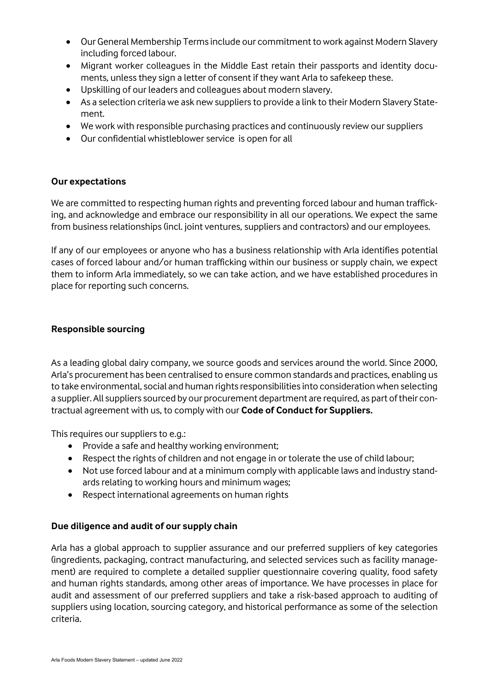- Our General Membership Terms include our commitment to work against Modern Slavery including forced labour.
- Migrant worker colleagues in the Middle East retain their passports and identity documents, unless they sign a letter of consent if they want Arla to safekeep these.
- Upskilling of our leaders and colleagues about modern slavery.
- As a selection criteria we ask new suppliers to provide a link to their Modern Slavery Statement.
- We work with responsible purchasing practices and continuously review our suppliers
- Our confidential whistleblower service is open for all

# <span id="page-2-0"></span>**Our expectations**

We are committed to respecting human rights and preventing forced labour and human trafficking, and acknowledge and embrace our responsibility in all our operations. We expect the same from business relationships (incl. joint ventures, suppliers and contractors) and our employees.

If any of our employees or anyone who has a business relationship with Arla identifies potential cases of forced labour and/or human trafficking within our business or supply chain, we expect them to inform Arla immediately, so we can take action, and we have established procedures in place for reporting such concerns.

#### <span id="page-2-1"></span>**Responsible sourcing**

As a leading global dairy company, we source goods and services around the world. Since 2000, Arla's procurement has been centralised to ensure common standards and practices, enabling us to take environmental, social and human rights responsibilities into consideration when selecting a supplier. All suppliers sourced by our procurement department are required, as part of their contractual agreement with us, to comply with our **Code of Conduct for Suppliers.**

This requires our suppliers to e.g.:

- Provide a safe and healthy working environment;
- Respect the rights of children and not engage in or tolerate the use of child labour;
- Not use forced labour and at a minimum comply with applicable laws and industry standards relating to working hours and minimum wages;
- Respect international agreements on human rights

# <span id="page-2-2"></span>**Due diligence and audit of our supply chain**

Arla has a global approach to supplier assurance and our preferred suppliers of key categories (ingredients, packaging, contract manufacturing, and selected services such as facility management) are required to complete a detailed supplier questionnaire covering quality, food safety and human rights standards, among other areas of importance. We have processes in place for audit and assessment of our preferred suppliers and take a risk-based approach to auditing of suppliers using location, sourcing category, and historical performance as some of the selection criteria.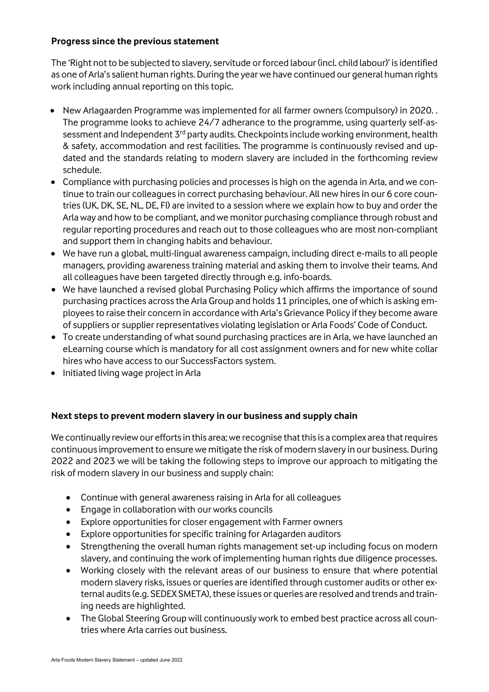# <span id="page-3-0"></span>**Progress since the previous statement**

The 'Right not to be subjected to slavery, servitude or forced labour (incl. child labour)' is identified as one of Arla's salient human rights. During the year we have continued our general human rights work including annual reporting on this topic.

- New Arlagaarden Programme was implemented for all farmer owners (compulsory) in 2020. . The programme looks to achieve 24/7 adherance to the programme, using quarterly self-assessment and Independent 3<sup>rd</sup> party audits. Checkpoints include working environment, health & safety, accommodation and rest facilities. The programme is continuously revised and updated and the standards relating to modern slavery are included in the forthcoming review schedule.
- Compliance with purchasing policies and processes is high on the agenda in Arla, and we continue to train our colleagues in correct purchasing behaviour. All new hires in our 6 core countries (UK, DK, SE, NL, DE, FI) are invited to a session where we explain how to buy and order the Arla way and how to be compliant, and we monitor purchasing compliance through robust and regular reporting procedures and reach out to those colleagues who are most non-compliant and support them in changing habits and behaviour.
- We have run a global, multi-lingual awareness campaign, including direct e-mails to all people managers, providing awareness training material and asking them to involve their teams. And all colleagues have been targeted directly through e.g. info-boards.
- We have launched a revised global Purchasing Policy which affirms the importance of sound purchasing practices across the Arla Group and holds 11 principles, one of which is asking employees to raise their concern in accordance with Arla's Grievance Policy if they become aware of suppliers or supplier representatives violating legislation or Arla Foods' Code of Conduct.
- To create understanding of what sound purchasing practices are in Arla, we have launched an eLearning course which is mandatory for all cost assignment owners and for new white collar hires who have access to our SuccessFactors system.
- Initiated living wage project in Arla

# <span id="page-3-1"></span>**Next steps to prevent modern slavery in our business and supply chain**

We continually review our efforts in this area; we recognise that this is a complex area that requires continuous improvement to ensure we mitigate the risk of modern slavery in our business. During 2022 and 2023 we will be taking the following steps to improve our approach to mitigating the risk of modern slavery in our business and supply chain:

- Continue with general awareness raising in Arla for all colleagues
- Engage in collaboration with our works councils
- Explore opportunities for closer engagement with Farmer owners
- Explore opportunities for specific training for Arlagarden auditors
- Strengthening the overall human rights management set-up including focus on modern slavery, and continuing the work of implementing human rights due diligence processes.
- Working closely with the relevant areas of our business to ensure that where potential modern slavery risks, issues or queries are identified through customer audits or other external audits (e.g. SEDEX SMETA), these issues or queries are resolved and trends and training needs are highlighted.
- The Global Steering Group will continuously work to embed best practice across all countries where Arla carries out business.